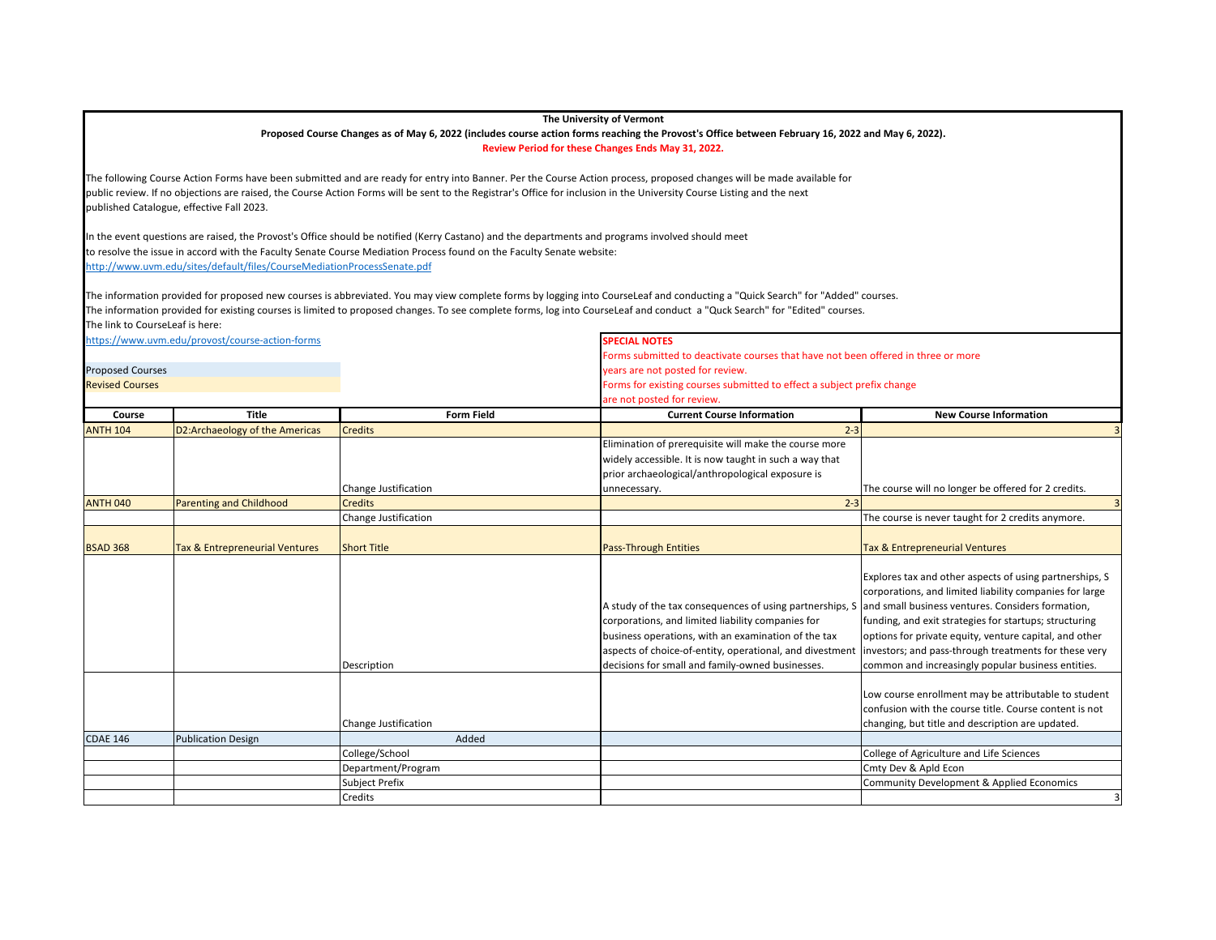## **The University of Vermont**

## **Proposed Course Changes as of May 6, 2022 (includes course action forms reaching the Provost's Office between February 16, 2022 and May 6, 2022).**

**Review Period for these Changes Ends May 31, 2022.**

The following Course Action Forms have been submitted and are ready for entry into Banner. Per the Course Action process, proposed changes will be made available for public review. If no objections are raised, the Course Action Forms will be sent to the Registrar's Office for inclusion in the University Course Listing and the next published Catalogue, effective Fall 2023.

In the event questions are raised, the Provost's Office should be notified (Kerry Castano) and the departments and programs involved should meet to resolve the issue in accord with the Faculty Senate Course Mediation Process found on the Faculty Senate website: <http://www.uvm.edu/sites/default/files/CourseMediationProcessSenate.pdf>

The information provided for proposed new courses is abbreviated. You may view complete forms by logging into CourseLeaf and conducting a "Quick Search" for "Added" courses. The information provided for existing courses is limited to proposed changes. To see complete forms, log into CourseLeaf and conduct a "Quck Search" for "Edited" courses. The link to CourseLeaf is here:

<https://www.uvm.edu/provost/course-action-forms> **SPECIAL NOTES**

Forms submitted to deactivate courses that have not been offered in three or more

|                         |                                           |                      | <b>Drills submitted to acactivate courses that have not been onered in three or more</b>                                                                                                                                                                                             |                                                                                                                                                                                                                                                                                                                                                                                                                                                                                                                              |  |
|-------------------------|-------------------------------------------|----------------------|--------------------------------------------------------------------------------------------------------------------------------------------------------------------------------------------------------------------------------------------------------------------------------------|------------------------------------------------------------------------------------------------------------------------------------------------------------------------------------------------------------------------------------------------------------------------------------------------------------------------------------------------------------------------------------------------------------------------------------------------------------------------------------------------------------------------------|--|
| <b>Proposed Courses</b> |                                           |                      | years are not posted for review.                                                                                                                                                                                                                                                     |                                                                                                                                                                                                                                                                                                                                                                                                                                                                                                                              |  |
| <b>Revised Courses</b>  |                                           |                      |                                                                                                                                                                                                                                                                                      | Forms for existing courses submitted to effect a subject prefix change                                                                                                                                                                                                                                                                                                                                                                                                                                                       |  |
|                         |                                           |                      | are not posted for review.                                                                                                                                                                                                                                                           |                                                                                                                                                                                                                                                                                                                                                                                                                                                                                                                              |  |
| Course                  | <b>Title</b>                              | <b>Form Field</b>    | <b>Current Course Information</b>                                                                                                                                                                                                                                                    | <b>New Course Information</b>                                                                                                                                                                                                                                                                                                                                                                                                                                                                                                |  |
| <b>ANTH 104</b>         | D2:Archaeology of the Americas            | <b>Credits</b>       | $2 - 3$                                                                                                                                                                                                                                                                              |                                                                                                                                                                                                                                                                                                                                                                                                                                                                                                                              |  |
|                         |                                           |                      | Elimination of prerequisite will make the course more                                                                                                                                                                                                                                |                                                                                                                                                                                                                                                                                                                                                                                                                                                                                                                              |  |
|                         |                                           |                      | widely accessible. It is now taught in such a way that                                                                                                                                                                                                                               |                                                                                                                                                                                                                                                                                                                                                                                                                                                                                                                              |  |
|                         |                                           |                      | prior archaeological/anthropological exposure is                                                                                                                                                                                                                                     |                                                                                                                                                                                                                                                                                                                                                                                                                                                                                                                              |  |
|                         |                                           | Change Justification | unnecessary.                                                                                                                                                                                                                                                                         | The course will no longer be offered for 2 credits.                                                                                                                                                                                                                                                                                                                                                                                                                                                                          |  |
| <b>ANTH 040</b>         | <b>Parenting and Childhood</b>            | <b>Credits</b>       | $2 - 3$                                                                                                                                                                                                                                                                              |                                                                                                                                                                                                                                                                                                                                                                                                                                                                                                                              |  |
|                         |                                           | Change Justification |                                                                                                                                                                                                                                                                                      | The course is never taught for 2 credits anymore.                                                                                                                                                                                                                                                                                                                                                                                                                                                                            |  |
|                         |                                           |                      |                                                                                                                                                                                                                                                                                      |                                                                                                                                                                                                                                                                                                                                                                                                                                                                                                                              |  |
| <b>BSAD 368</b>         | <b>Tax &amp; Entrepreneurial Ventures</b> | <b>Short Title</b>   | <b>Pass-Through Entities</b>                                                                                                                                                                                                                                                         | <b>Tax &amp; Entrepreneurial Ventures</b>                                                                                                                                                                                                                                                                                                                                                                                                                                                                                    |  |
|                         |                                           | Description          | A study of the tax consequences of using partnerships, S<br>corporations, and limited liability companies for<br>business operations, with an examination of the tax<br>aspects of choice-of-entity, operational, and divestment<br>decisions for small and family-owned businesses. | Explores tax and other aspects of using partnerships, S<br>corporations, and limited liability companies for large<br>and small business ventures. Considers formation,<br>funding, and exit strategies for startups; structuring<br>options for private equity, venture capital, and other<br>investors; and pass-through treatments for these very<br>common and increasingly popular business entities.<br>Low course enrollment may be attributable to student<br>confusion with the course title. Course content is not |  |
|                         |                                           | Change Justification |                                                                                                                                                                                                                                                                                      | changing, but title and description are updated.                                                                                                                                                                                                                                                                                                                                                                                                                                                                             |  |
| <b>CDAE 146</b>         | <b>Publication Design</b>                 | Added                |                                                                                                                                                                                                                                                                                      |                                                                                                                                                                                                                                                                                                                                                                                                                                                                                                                              |  |
|                         |                                           | College/School       |                                                                                                                                                                                                                                                                                      | College of Agriculture and Life Sciences                                                                                                                                                                                                                                                                                                                                                                                                                                                                                     |  |
|                         |                                           | Department/Program   |                                                                                                                                                                                                                                                                                      | Cmty Dev & Apld Econ                                                                                                                                                                                                                                                                                                                                                                                                                                                                                                         |  |
|                         |                                           | Subject Prefix       |                                                                                                                                                                                                                                                                                      | Community Development & Applied Economics                                                                                                                                                                                                                                                                                                                                                                                                                                                                                    |  |
|                         |                                           | Credits              |                                                                                                                                                                                                                                                                                      | 3                                                                                                                                                                                                                                                                                                                                                                                                                                                                                                                            |  |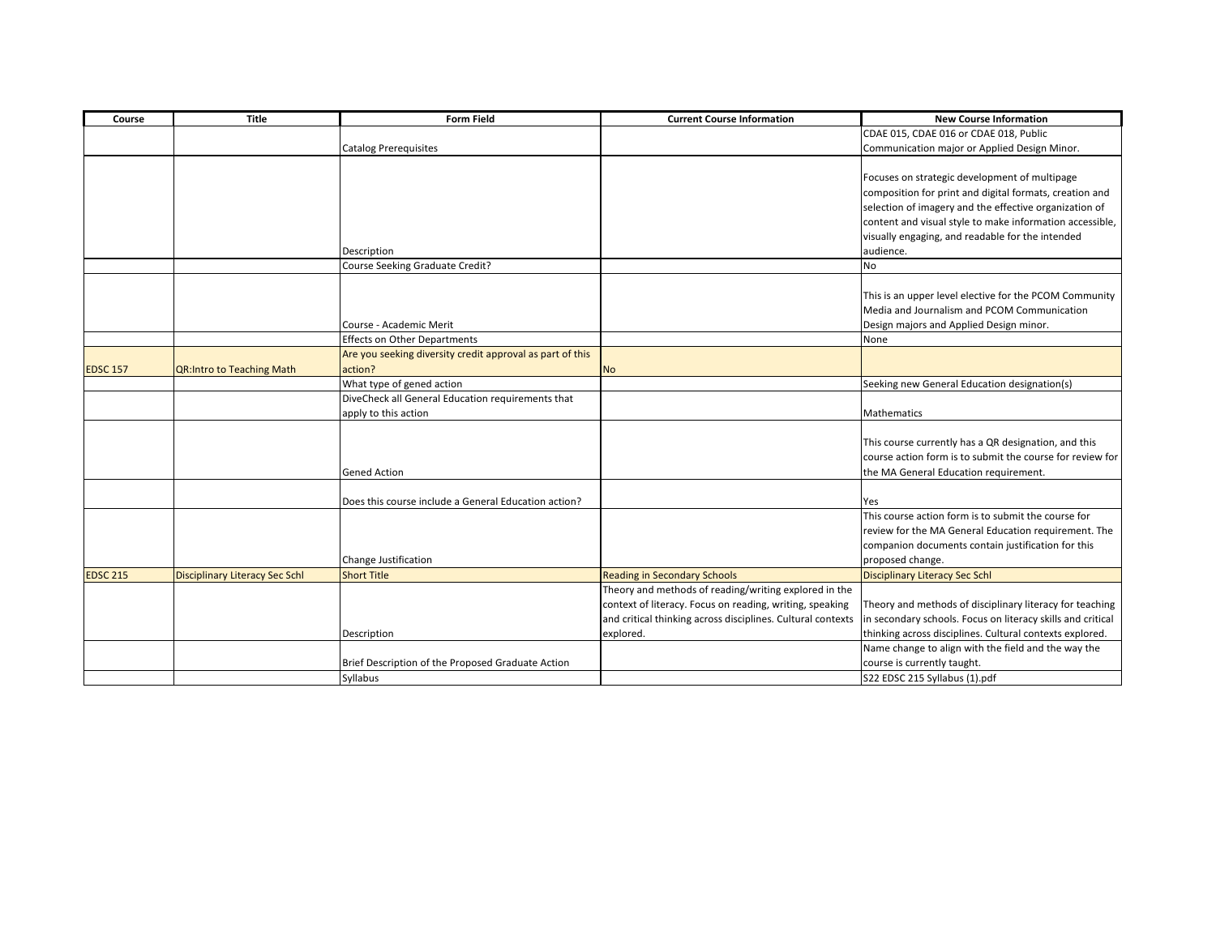| Course          | <b>Title</b>                          | <b>Form Field</b>                                         | <b>Current Course Information</b>                           | <b>New Course Information</b>                               |
|-----------------|---------------------------------------|-----------------------------------------------------------|-------------------------------------------------------------|-------------------------------------------------------------|
|                 |                                       |                                                           |                                                             | CDAE 015, CDAE 016 or CDAE 018, Public                      |
|                 |                                       | <b>Catalog Prerequisites</b>                              |                                                             | Communication major or Applied Design Minor.                |
|                 |                                       |                                                           |                                                             |                                                             |
|                 |                                       |                                                           |                                                             | Focuses on strategic development of multipage               |
|                 |                                       |                                                           |                                                             | composition for print and digital formats, creation and     |
|                 |                                       |                                                           |                                                             | selection of imagery and the effective organization of      |
|                 |                                       |                                                           |                                                             | content and visual style to make information accessible,    |
|                 |                                       |                                                           |                                                             | visually engaging, and readable for the intended            |
|                 |                                       | Description                                               |                                                             | audience.                                                   |
|                 |                                       | Course Seeking Graduate Credit?                           |                                                             | <b>No</b>                                                   |
|                 |                                       |                                                           |                                                             |                                                             |
|                 |                                       |                                                           |                                                             | This is an upper level elective for the PCOM Community      |
|                 |                                       |                                                           |                                                             | Media and Journalism and PCOM Communication                 |
|                 |                                       | Course - Academic Merit                                   |                                                             | Design majors and Applied Design minor.                     |
|                 |                                       | <b>Effects on Other Departments</b>                       |                                                             | None                                                        |
|                 |                                       | Are you seeking diversity credit approval as part of this |                                                             |                                                             |
| <b>EDSC 157</b> | <b>QR:Intro to Teaching Math</b>      | action?                                                   | <b>No</b>                                                   |                                                             |
|                 |                                       | What type of gened action                                 |                                                             | Seeking new General Education designation(s)                |
|                 |                                       | DiveCheck all General Education requirements that         |                                                             |                                                             |
|                 |                                       | apply to this action                                      |                                                             | <b>Mathematics</b>                                          |
|                 |                                       |                                                           |                                                             |                                                             |
|                 |                                       |                                                           |                                                             | This course currently has a QR designation, and this        |
|                 |                                       |                                                           |                                                             | course action form is to submit the course for review for   |
|                 |                                       | <b>Gened Action</b>                                       |                                                             | the MA General Education requirement.                       |
|                 |                                       |                                                           |                                                             |                                                             |
|                 |                                       | Does this course include a General Education action?      |                                                             | Yes                                                         |
|                 |                                       |                                                           |                                                             | This course action form is to submit the course for         |
|                 |                                       |                                                           |                                                             | review for the MA General Education requirement. The        |
|                 |                                       |                                                           |                                                             | companion documents contain justification for this          |
|                 |                                       | Change Justification                                      |                                                             | proposed change.                                            |
| <b>EDSC 215</b> | <b>Disciplinary Literacy Sec Schl</b> | <b>Short Title</b>                                        | <b>Reading in Secondary Schools</b>                         | <b>Disciplinary Literacy Sec Schl</b>                       |
|                 |                                       |                                                           | Theory and methods of reading/writing explored in the       |                                                             |
|                 |                                       |                                                           | context of literacy. Focus on reading, writing, speaking    | Theory and methods of disciplinary literacy for teaching    |
|                 |                                       |                                                           | and critical thinking across disciplines. Cultural contexts | in secondary schools. Focus on literacy skills and critical |
|                 |                                       | Description                                               | explored.                                                   | thinking across disciplines. Cultural contexts explored.    |
|                 |                                       |                                                           |                                                             | Name change to align with the field and the way the         |
|                 |                                       | Brief Description of the Proposed Graduate Action         |                                                             | course is currently taught.                                 |
|                 |                                       | Syllabus                                                  |                                                             | S22 EDSC 215 Syllabus (1).pdf                               |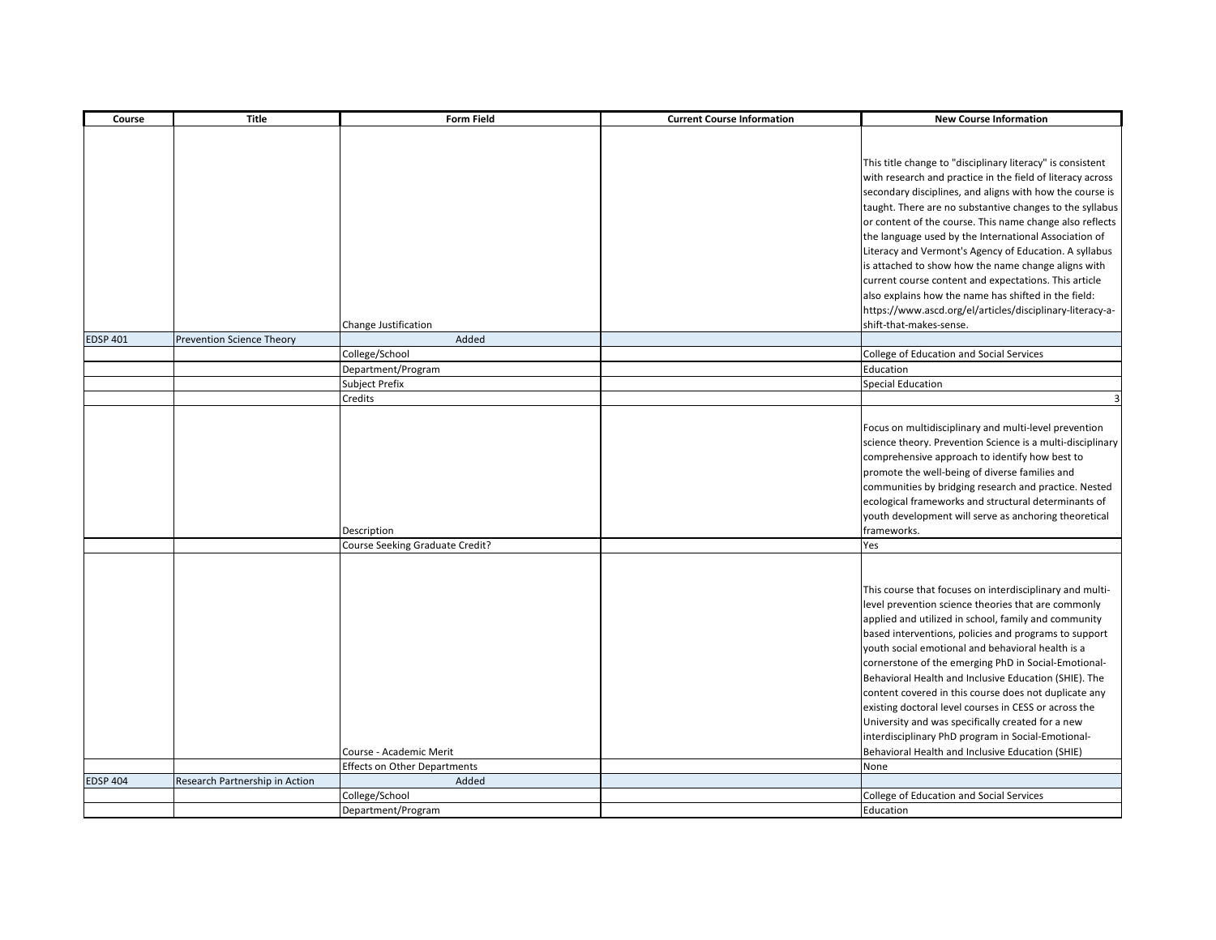| Course          | <b>Title</b>                     | <b>Form Field</b>                    | <b>Current Course Information</b> | <b>New Course Information</b>                                                                                                                                                                                                                                                                                                                                                                                                                                                                                                                                                                                                                                                           |
|-----------------|----------------------------------|--------------------------------------|-----------------------------------|-----------------------------------------------------------------------------------------------------------------------------------------------------------------------------------------------------------------------------------------------------------------------------------------------------------------------------------------------------------------------------------------------------------------------------------------------------------------------------------------------------------------------------------------------------------------------------------------------------------------------------------------------------------------------------------------|
|                 |                                  |                                      |                                   | This title change to "disciplinary literacy" is consistent<br>with research and practice in the field of literacy across<br>secondary disciplines, and aligns with how the course is<br>taught. There are no substantive changes to the syllabus<br>or content of the course. This name change also reflects<br>the language used by the International Association of<br>Literacy and Vermont's Agency of Education. A syllabus<br>is attached to show how the name change aligns with<br>current course content and expectations. This article                                                                                                                                         |
|                 |                                  |                                      |                                   | also explains how the name has shifted in the field:                                                                                                                                                                                                                                                                                                                                                                                                                                                                                                                                                                                                                                    |
|                 |                                  |                                      |                                   | https://www.ascd.org/el/articles/disciplinary-literacy-a-                                                                                                                                                                                                                                                                                                                                                                                                                                                                                                                                                                                                                               |
|                 |                                  | Change Justification                 |                                   | shift-that-makes-sense.                                                                                                                                                                                                                                                                                                                                                                                                                                                                                                                                                                                                                                                                 |
| <b>EDSP 401</b> | <b>Prevention Science Theory</b> | Added                                |                                   |                                                                                                                                                                                                                                                                                                                                                                                                                                                                                                                                                                                                                                                                                         |
|                 |                                  | College/School                       |                                   | College of Education and Social Services                                                                                                                                                                                                                                                                                                                                                                                                                                                                                                                                                                                                                                                |
|                 |                                  | Department/Program                   |                                   | Education                                                                                                                                                                                                                                                                                                                                                                                                                                                                                                                                                                                                                                                                               |
|                 |                                  | Subject Prefix                       |                                   | <b>Special Education</b>                                                                                                                                                                                                                                                                                                                                                                                                                                                                                                                                                                                                                                                                |
|                 |                                  | Credits                              |                                   |                                                                                                                                                                                                                                                                                                                                                                                                                                                                                                                                                                                                                                                                                         |
|                 |                                  | Description                          |                                   | Focus on multidisciplinary and multi-level prevention<br>science theory. Prevention Science is a multi-disciplinary<br>comprehensive approach to identify how best to<br>promote the well-being of diverse families and<br>communities by bridging research and practice. Nested<br>ecological frameworks and structural determinants of<br>youth development will serve as anchoring theoretical<br>frameworks.                                                                                                                                                                                                                                                                        |
|                 |                                  | Course Seeking Graduate Credit?      |                                   | Yes                                                                                                                                                                                                                                                                                                                                                                                                                                                                                                                                                                                                                                                                                     |
|                 |                                  | Course - Academic Merit              |                                   | This course that focuses on interdisciplinary and multi-<br>level prevention science theories that are commonly<br>applied and utilized in school, family and community<br>based interventions, policies and programs to support<br>youth social emotional and behavioral health is a<br>cornerstone of the emerging PhD in Social-Emotional-<br>Behavioral Health and Inclusive Education (SHIE). The<br>content covered in this course does not duplicate any<br>existing doctoral level courses in CESS or across the<br>University and was specifically created for a new<br>interdisciplinary PhD program in Social-Emotional-<br>Behavioral Health and Inclusive Education (SHIE) |
|                 |                                  | <b>Effects on Other Departments</b>  |                                   | None                                                                                                                                                                                                                                                                                                                                                                                                                                                                                                                                                                                                                                                                                    |
| <b>EDSP 404</b> | Research Partnership in Action   | Added                                |                                   |                                                                                                                                                                                                                                                                                                                                                                                                                                                                                                                                                                                                                                                                                         |
|                 |                                  | College/School<br>Department/Program |                                   | College of Education and Social Services<br>Education                                                                                                                                                                                                                                                                                                                                                                                                                                                                                                                                                                                                                                   |
|                 |                                  |                                      |                                   |                                                                                                                                                                                                                                                                                                                                                                                                                                                                                                                                                                                                                                                                                         |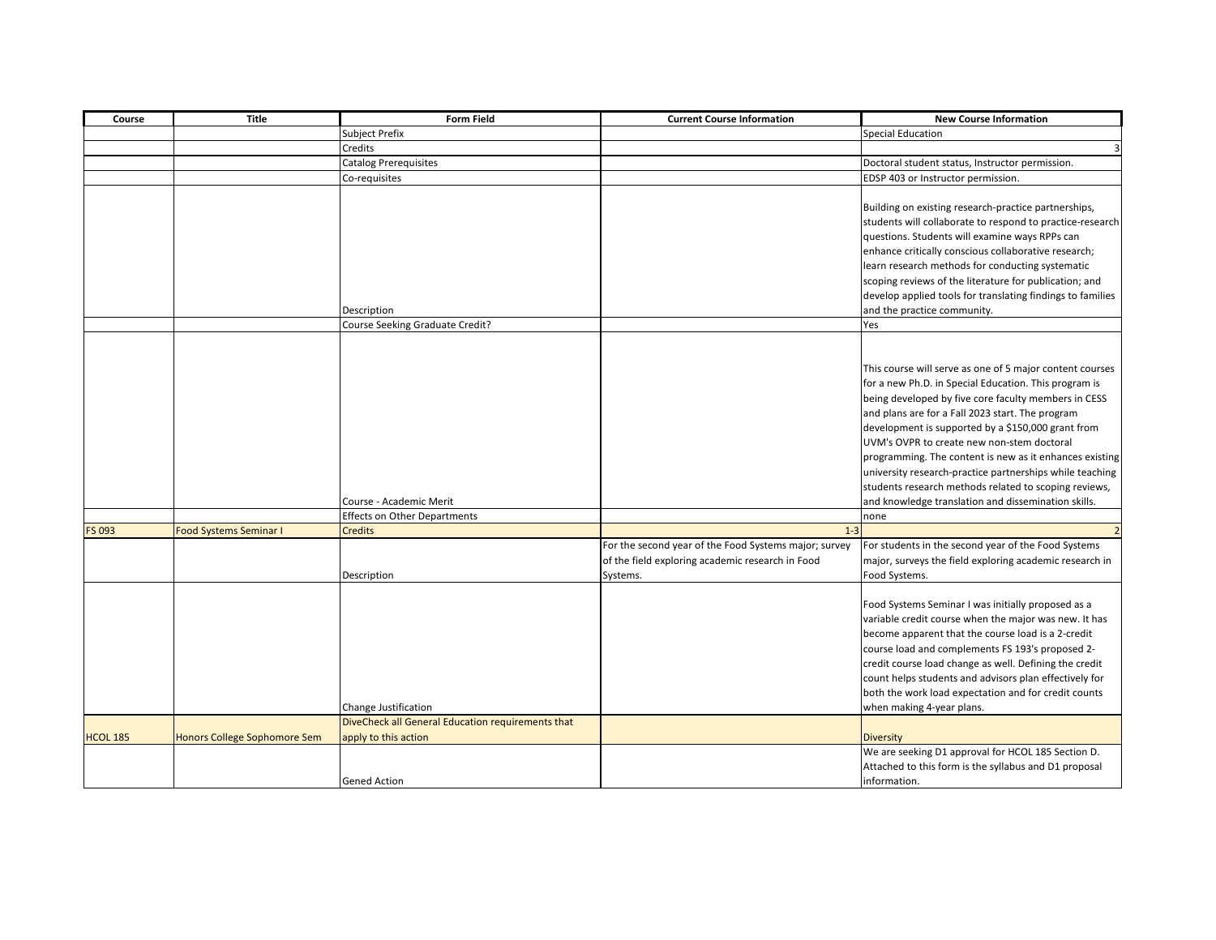| Course          | <b>Title</b>                  | <b>Form Field</b>                                 | <b>Current Course Information</b>                     | <b>New Course Information</b>                                                                                     |
|-----------------|-------------------------------|---------------------------------------------------|-------------------------------------------------------|-------------------------------------------------------------------------------------------------------------------|
|                 |                               | <b>Subject Prefix</b>                             |                                                       | <b>Special Education</b>                                                                                          |
|                 |                               | Credits                                           |                                                       |                                                                                                                   |
|                 |                               | <b>Catalog Prerequisites</b>                      |                                                       | Doctoral student status, Instructor permission.                                                                   |
|                 |                               | Co-requisites                                     |                                                       | EDSP 403 or Instructor permission.                                                                                |
|                 |                               |                                                   |                                                       | Building on existing research-practice partnerships,<br>students will collaborate to respond to practice-research |
|                 |                               |                                                   |                                                       | questions. Students will examine ways RPPs can                                                                    |
|                 |                               |                                                   |                                                       | enhance critically conscious collaborative research;                                                              |
|                 |                               |                                                   |                                                       | learn research methods for conducting systematic                                                                  |
|                 |                               |                                                   |                                                       | scoping reviews of the literature for publication; and                                                            |
|                 |                               |                                                   |                                                       | develop applied tools for translating findings to families                                                        |
|                 |                               | Description                                       |                                                       | and the practice community.                                                                                       |
|                 |                               | Course Seeking Graduate Credit?                   |                                                       | Yes                                                                                                               |
|                 |                               |                                                   |                                                       |                                                                                                                   |
|                 |                               |                                                   |                                                       | This course will serve as one of 5 major content courses                                                          |
|                 |                               |                                                   |                                                       | for a new Ph.D. in Special Education. This program is                                                             |
|                 |                               |                                                   |                                                       | being developed by five core faculty members in CESS                                                              |
|                 |                               |                                                   |                                                       | and plans are for a Fall 2023 start. The program                                                                  |
|                 |                               |                                                   |                                                       | development is supported by a \$150,000 grant from                                                                |
|                 |                               |                                                   |                                                       | UVM's OVPR to create new non-stem doctoral                                                                        |
|                 |                               |                                                   |                                                       | programming. The content is new as it enhances existing                                                           |
|                 |                               |                                                   |                                                       | university research-practice partnerships while teaching                                                          |
|                 |                               |                                                   |                                                       | students research methods related to scoping reviews,                                                             |
|                 |                               | Course - Academic Merit                           |                                                       | and knowledge translation and dissemination skills.                                                               |
|                 |                               | <b>Effects on Other Departments</b>               |                                                       | none                                                                                                              |
| FS 093          | <b>Food Systems Seminar I</b> | <b>Credits</b>                                    | $1 - 3$                                               |                                                                                                                   |
|                 |                               |                                                   | For the second year of the Food Systems major; survey | For students in the second year of the Food Systems                                                               |
|                 |                               |                                                   | of the field exploring academic research in Food      | major, surveys the field exploring academic research in                                                           |
|                 |                               | Description                                       | Systems.                                              | Food Systems.                                                                                                     |
|                 |                               |                                                   |                                                       | Food Systems Seminar I was initially proposed as a                                                                |
|                 |                               |                                                   |                                                       | variable credit course when the major was new. It has                                                             |
|                 |                               |                                                   |                                                       | become apparent that the course load is a 2-credit                                                                |
|                 |                               |                                                   |                                                       | course load and complements FS 193's proposed 2-                                                                  |
|                 |                               |                                                   |                                                       | credit course load change as well. Defining the credit                                                            |
|                 |                               |                                                   |                                                       | count helps students and advisors plan effectively for                                                            |
|                 |                               |                                                   |                                                       | both the work load expectation and for credit counts                                                              |
|                 |                               | Change Justification                              |                                                       | when making 4-year plans.                                                                                         |
|                 |                               | DiveCheck all General Education requirements that |                                                       |                                                                                                                   |
| <b>HCOL 185</b> | Honors College Sophomore Sem  | apply to this action                              |                                                       | <b>Diversity</b>                                                                                                  |
|                 |                               |                                                   |                                                       | We are seeking D1 approval for HCOL 185 Section D.                                                                |
|                 |                               |                                                   |                                                       | Attached to this form is the syllabus and D1 proposal                                                             |
|                 |                               | <b>Gened Action</b>                               |                                                       | information.                                                                                                      |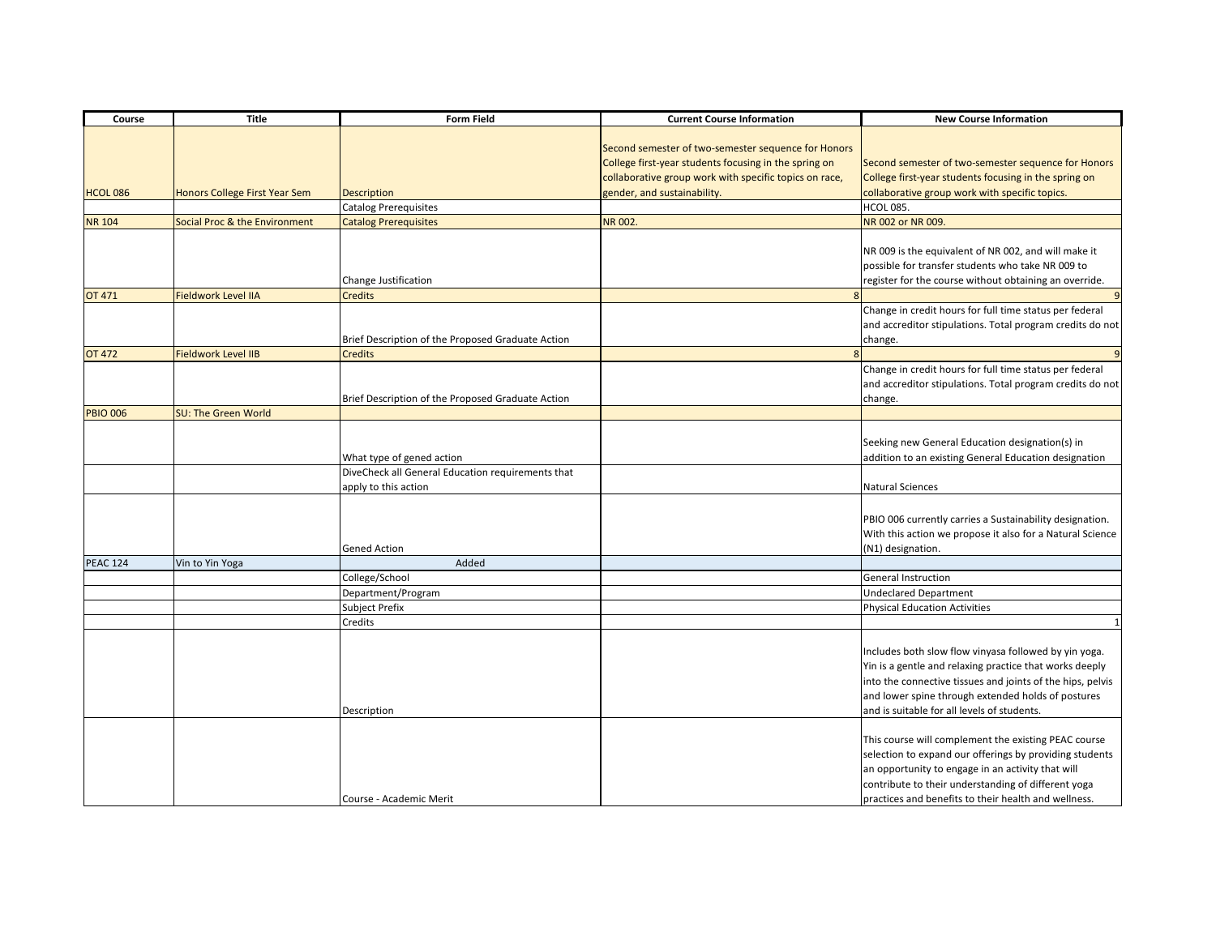| Course          | <b>Title</b>                  | <b>Form Field</b>                                 | <b>Current Course Information</b>                      | <b>New Course Information</b>                              |
|-----------------|-------------------------------|---------------------------------------------------|--------------------------------------------------------|------------------------------------------------------------|
|                 |                               |                                                   |                                                        |                                                            |
|                 |                               |                                                   | Second semester of two-semester sequence for Honors    |                                                            |
|                 |                               |                                                   | College first-year students focusing in the spring on  | Second semester of two-semester sequence for Honors        |
|                 |                               |                                                   | collaborative group work with specific topics on race, | College first-year students focusing in the spring on      |
| <b>HCOL 086</b> | Honors College First Year Sem | <b>Description</b>                                | gender, and sustainability.                            | collaborative group work with specific topics.             |
|                 |                               | Catalog Prerequisites                             |                                                        | <b>HCOL 085.</b>                                           |
| <b>NR 104</b>   | Social Proc & the Environment | <b>Catalog Prerequisites</b>                      | NR 002.                                                | NR 002 or NR 009.                                          |
|                 |                               |                                                   |                                                        |                                                            |
|                 |                               |                                                   |                                                        | NR 009 is the equivalent of NR 002, and will make it       |
|                 |                               |                                                   |                                                        | possible for transfer students who take NR 009 to          |
|                 |                               | Change Justification                              |                                                        | register for the course without obtaining an override.     |
| OT 471          | <b>Fieldwork Level IIA</b>    | <b>Credits</b>                                    | 8                                                      |                                                            |
|                 |                               |                                                   |                                                        | Change in credit hours for full time status per federal    |
|                 |                               |                                                   |                                                        | and accreditor stipulations. Total program credits do not  |
|                 |                               | Brief Description of the Proposed Graduate Action |                                                        | change.                                                    |
| <b>OT 472</b>   | Fieldwork Level IIB           | <b>Credits</b>                                    | $\mathbf{R}$                                           |                                                            |
|                 |                               |                                                   |                                                        | Change in credit hours for full time status per federal    |
|                 |                               |                                                   |                                                        | and accreditor stipulations. Total program credits do not  |
|                 |                               | Brief Description of the Proposed Graduate Action |                                                        | change.                                                    |
| <b>PBIO 006</b> | SU: The Green World           |                                                   |                                                        |                                                            |
|                 |                               |                                                   |                                                        |                                                            |
|                 |                               |                                                   |                                                        | Seeking new General Education designation(s) in            |
|                 |                               | What type of gened action                         |                                                        | addition to an existing General Education designation      |
|                 |                               | DiveCheck all General Education requirements that |                                                        |                                                            |
|                 |                               | apply to this action                              |                                                        | <b>Natural Sciences</b>                                    |
|                 |                               |                                                   |                                                        |                                                            |
|                 |                               |                                                   |                                                        | PBIO 006 currently carries a Sustainability designation.   |
|                 |                               |                                                   |                                                        | With this action we propose it also for a Natural Science  |
|                 |                               | <b>Gened Action</b>                               |                                                        | (N1) designation.                                          |
| <b>PEAC 124</b> | Vin to Yin Yoga               | Added                                             |                                                        |                                                            |
|                 |                               | College/School                                    |                                                        | <b>General Instruction</b>                                 |
|                 |                               | Department/Program                                |                                                        | <b>Undeclared Department</b>                               |
|                 |                               | Subject Prefix                                    |                                                        | <b>Physical Education Activities</b>                       |
|                 |                               | Credits                                           |                                                        |                                                            |
|                 |                               |                                                   |                                                        |                                                            |
|                 |                               |                                                   |                                                        | Includes both slow flow vinyasa followed by yin yoga.      |
|                 |                               |                                                   |                                                        | Yin is a gentle and relaxing practice that works deeply    |
|                 |                               |                                                   |                                                        | into the connective tissues and joints of the hips, pelvis |
|                 |                               |                                                   |                                                        | and lower spine through extended holds of postures         |
|                 |                               | Description                                       |                                                        | and is suitable for all levels of students.                |
|                 |                               |                                                   |                                                        |                                                            |
|                 |                               |                                                   |                                                        | This course will complement the existing PEAC course       |
|                 |                               |                                                   |                                                        | selection to expand our offerings by providing students    |
|                 |                               |                                                   |                                                        | an opportunity to engage in an activity that will          |
|                 |                               |                                                   |                                                        | contribute to their understanding of different yoga        |
|                 |                               | Course - Academic Merit                           |                                                        | practices and benefits to their health and wellness.       |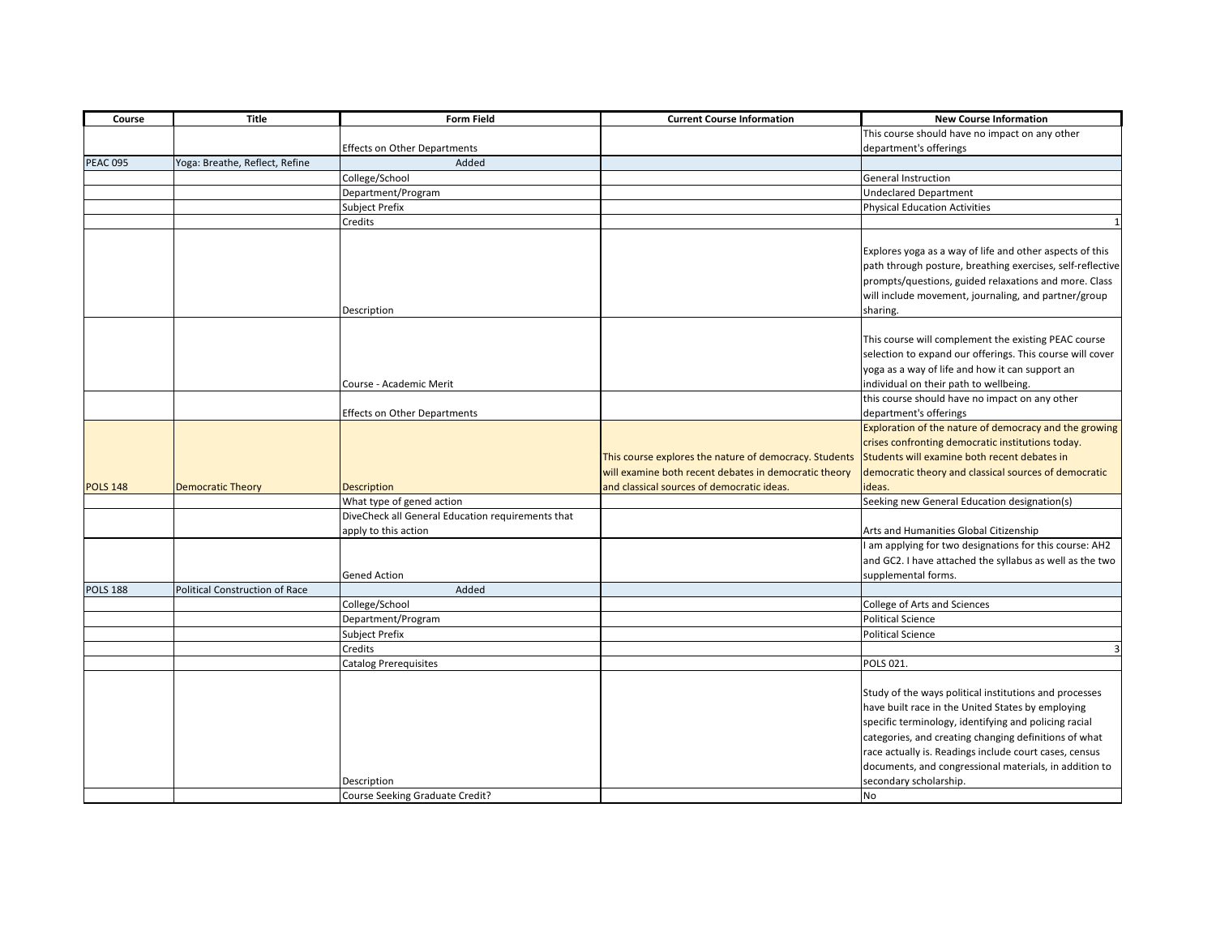| Course          | <b>Title</b>                          | <b>Form Field</b>                                 | <b>Current Course Information</b>                      | <b>New Course Information</b>                              |
|-----------------|---------------------------------------|---------------------------------------------------|--------------------------------------------------------|------------------------------------------------------------|
|                 |                                       |                                                   |                                                        | This course should have no impact on any other             |
|                 |                                       | <b>Effects on Other Departments</b>               |                                                        | department's offerings                                     |
| <b>PEAC 095</b> | Yoga: Breathe, Reflect, Refine        | Added                                             |                                                        |                                                            |
|                 |                                       | College/School                                    |                                                        | <b>General Instruction</b>                                 |
|                 |                                       | Department/Program                                |                                                        | <b>Undeclared Department</b>                               |
|                 |                                       | Subject Prefix                                    |                                                        | <b>Physical Education Activities</b>                       |
|                 |                                       | Credits                                           |                                                        |                                                            |
|                 |                                       |                                                   |                                                        |                                                            |
|                 |                                       |                                                   |                                                        | Explores yoga as a way of life and other aspects of this   |
|                 |                                       |                                                   |                                                        | path through posture, breathing exercises, self-reflective |
|                 |                                       |                                                   |                                                        | prompts/questions, guided relaxations and more. Class      |
|                 |                                       |                                                   |                                                        | will include movement, journaling, and partner/group       |
|                 |                                       | Description                                       |                                                        | sharing.                                                   |
|                 |                                       |                                                   |                                                        |                                                            |
|                 |                                       |                                                   |                                                        | This course will complement the existing PEAC course       |
|                 |                                       |                                                   |                                                        | selection to expand our offerings. This course will cover  |
|                 |                                       |                                                   |                                                        | yoga as a way of life and how it can support an            |
|                 |                                       | Course - Academic Merit                           |                                                        | individual on their path to wellbeing.                     |
|                 |                                       |                                                   |                                                        | this course should have no impact on any other             |
|                 |                                       | Effects on Other Departments                      |                                                        | department's offerings                                     |
|                 |                                       |                                                   |                                                        | Exploration of the nature of democracy and the growing     |
|                 |                                       |                                                   |                                                        | crises confronting democratic institutions today.          |
|                 |                                       |                                                   | This course explores the nature of democracy. Students | Students will examine both recent debates in               |
|                 |                                       |                                                   | will examine both recent debates in democratic theory  | democratic theory and classical sources of democratic      |
| <b>POLS 148</b> | <b>Democratic Theory</b>              | <b>Description</b>                                | and classical sources of democratic ideas.             | deas.                                                      |
|                 |                                       | What type of gened action                         |                                                        | Seeking new General Education designation(s)               |
|                 |                                       | DiveCheck all General Education requirements that |                                                        |                                                            |
|                 |                                       | apply to this action                              |                                                        | Arts and Humanities Global Citizenship                     |
|                 |                                       |                                                   |                                                        | I am applying for two designations for this course: AH2    |
|                 |                                       |                                                   |                                                        | and GC2. I have attached the syllabus as well as the two   |
|                 |                                       | <b>Gened Action</b>                               |                                                        | supplemental forms.                                        |
| <b>POLS 188</b> | <b>Political Construction of Race</b> | Added                                             |                                                        |                                                            |
|                 |                                       | College/School                                    |                                                        | College of Arts and Sciences                               |
|                 |                                       | Department/Program                                |                                                        | <b>Political Science</b>                                   |
|                 |                                       | Subject Prefix                                    |                                                        | <b>Political Science</b>                                   |
|                 |                                       | Credits                                           |                                                        | 3                                                          |
|                 |                                       | Catalog Prerequisites                             |                                                        | POLS 021.                                                  |
|                 |                                       |                                                   |                                                        |                                                            |
|                 |                                       |                                                   |                                                        | Study of the ways political institutions and processes     |
|                 |                                       |                                                   |                                                        | have built race in the United States by employing          |
|                 |                                       |                                                   |                                                        | specific terminology, identifying and policing racial      |
|                 |                                       |                                                   |                                                        | categories, and creating changing definitions of what      |
|                 |                                       |                                                   |                                                        | race actually is. Readings include court cases, census     |
|                 |                                       |                                                   |                                                        | documents, and congressional materials, in addition to     |
|                 |                                       | Description                                       |                                                        | secondary scholarship.                                     |
|                 |                                       | Course Seeking Graduate Credit?                   |                                                        | <b>No</b>                                                  |